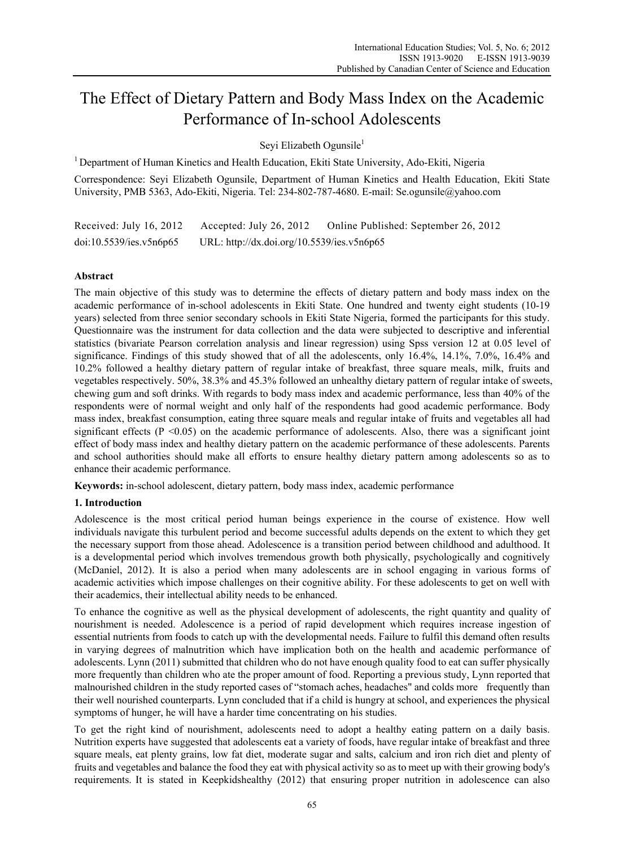# The Effect of Dietary Pattern and Body Mass Index on the Academic Performance of In-school Adolescents

Seyi Elizabeth Ogunsile<sup>1</sup>

<sup>1</sup> Department of Human Kinetics and Health Education, Ekiti State University, Ado-Ekiti, Nigeria

Correspondence: Seyi Elizabeth Ogunsile, Department of Human Kinetics and Health Education, Ekiti State University, PMB 5363, Ado-Ekiti, Nigeria. Tel: 234-802-787-4680. E-mail: Se.ogunsile@yahoo.com

| Received: July 16, 2012 | Accepted: July 26, 2012                    | Online Published: September 26, 2012 |
|-------------------------|--------------------------------------------|--------------------------------------|
| doi:10.5539/ies.v5n6p65 | URL: http://dx.doi.org/10.5539/ies.v5n6p65 |                                      |

# **Abstract**

The main objective of this study was to determine the effects of dietary pattern and body mass index on the academic performance of in-school adolescents in Ekiti State. One hundred and twenty eight students (10-19 years) selected from three senior secondary schools in Ekiti State Nigeria, formed the participants for this study. Questionnaire was the instrument for data collection and the data were subjected to descriptive and inferential statistics (bivariate Pearson correlation analysis and linear regression) using Spss version 12 at 0.05 level of significance. Findings of this study showed that of all the adolescents, only 16.4%, 14.1%, 7.0%, 16.4% and 10.2% followed a healthy dietary pattern of regular intake of breakfast, three square meals, milk, fruits and vegetables respectively. 50%, 38.3% and 45.3% followed an unhealthy dietary pattern of regular intake of sweets, chewing gum and soft drinks. With regards to body mass index and academic performance, less than 40% of the respondents were of normal weight and only half of the respondents had good academic performance. Body mass index, breakfast consumption, eating three square meals and regular intake of fruits and vegetables all had significant effects ( $P \le 0.05$ ) on the academic performance of adolescents. Also, there was a significant joint effect of body mass index and healthy dietary pattern on the academic performance of these adolescents. Parents and school authorities should make all efforts to ensure healthy dietary pattern among adolescents so as to enhance their academic performance.

**Keywords:** in-school adolescent, dietary pattern, body mass index, academic performance

## **1. Introduction**

Adolescence is the most critical period human beings experience in the course of existence. How well individuals navigate this turbulent period and become successful adults depends on the extent to which they get the necessary support from those ahead. Adolescence is a transition period between childhood and adulthood. It is a developmental period which involves tremendous growth both physically, psychologically and cognitively (McDaniel, 2012). It is also a period when many adolescents are in school engaging in various forms of academic activities which impose challenges on their cognitive ability. For these adolescents to get on well with their academics, their intellectual ability needs to be enhanced.

To enhance the cognitive as well as the physical development of adolescents, the right quantity and quality of nourishment is needed. Adolescence is a period of rapid development which requires increase ingestion of essential nutrients from foods to catch up with the developmental needs. Failure to fulfil this demand often results in varying degrees of malnutrition which have implication both on the health and academic performance of adolescents. Lynn (2011) submitted that children who do not have enough quality food to eat can suffer physically more frequently than children who ate the proper amount of food. Reporting a previous study, Lynn reported that malnourished children in the study reported cases of "stomach aches, headaches" and colds more frequently than their well nourished counterparts. Lynn concluded that if a child is hungry at school, and experiences the physical symptoms of hunger, he will have a harder time concentrating on his studies.

To get the right kind of nourishment, adolescents need to adopt a healthy eating pattern on a daily basis. Nutrition experts have suggested that adolescents eat a variety of foods, have regular intake of breakfast and three square meals, eat plenty grains, low fat diet, moderate sugar and salts, calcium and iron rich diet and plenty of fruits and vegetables and balance the food they eat with physical activity so as to meet up with their growing body's requirements. It is stated in Keepkidshealthy (2012) that ensuring proper nutrition in adolescence can also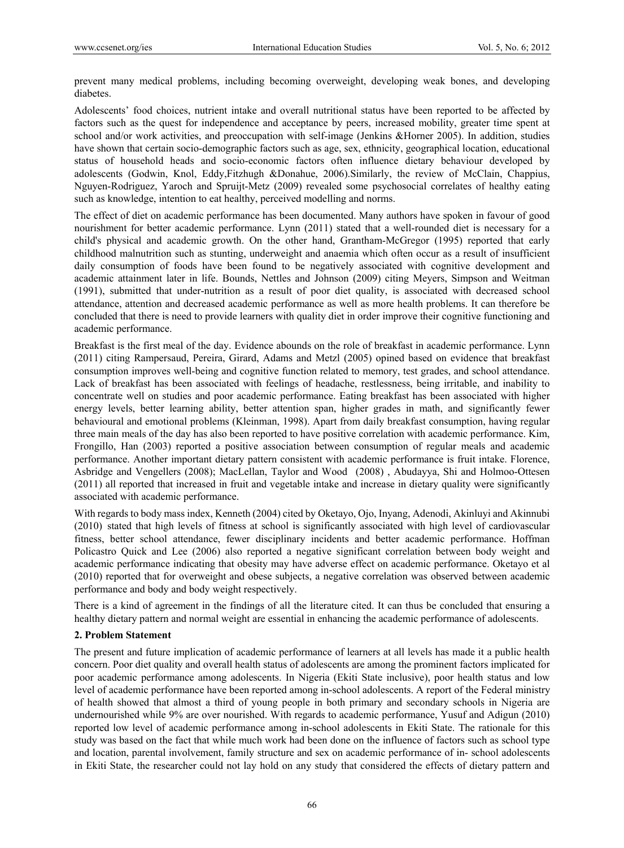prevent many medical problems, including becoming overweight, developing weak bones, and developing diabetes.

Adolescents' food choices, nutrient intake and overall nutritional status have been reported to be affected by factors such as the quest for independence and acceptance by peers, increased mobility, greater time spent at school and/or work activities, and preoccupation with self-image (Jenkins &Horner 2005). In addition, studies have shown that certain socio-demographic factors such as age, sex, ethnicity, geographical location, educational status of household heads and socio-economic factors often influence dietary behaviour developed by adolescents (Godwin, Knol, Eddy,Fitzhugh &Donahue, 2006).Similarly, the review of McClain, Chappius, Nguyen-Rodriguez, Yaroch and Spruijt-Metz (2009) revealed some psychosocial correlates of healthy eating such as knowledge, intention to eat healthy, perceived modelling and norms.

The effect of diet on academic performance has been documented. Many authors have spoken in favour of good nourishment for better academic performance. Lynn (2011) stated that a well-rounded diet is necessary for a child's physical and academic growth. On the other hand, Grantham-McGregor (1995) reported that early childhood malnutrition such as stunting, underweight and anaemia which often occur as a result of insufficient daily consumption of foods have been found to be negatively associated with cognitive development and academic attainment later in life. Bounds, Nettles and Johnson (2009) citing Meyers, Simpson and Weitman (1991), submitted that under-nutrition as a result of poor diet quality, is associated with decreased school attendance, attention and decreased academic performance as well as more health problems. It can therefore be concluded that there is need to provide learners with quality diet in order improve their cognitive functioning and academic performance.

Breakfast is the first meal of the day. Evidence abounds on the role of breakfast in academic performance. Lynn (2011) citing Rampersaud, Pereira, Girard, Adams and Metzl (2005) opined based on evidence that breakfast consumption improves well-being and cognitive function related to memory, test grades, and school attendance. Lack of breakfast has been associated with feelings of headache, restlessness, being irritable, and inability to concentrate well on studies and poor academic performance. Eating breakfast has been associated with higher energy levels, better learning ability, better attention span, higher grades in math, and significantly fewer behavioural and emotional problems (Kleinman, 1998). Apart from daily breakfast consumption, having regular three main meals of the day has also been reported to have positive correlation with academic performance. Kim, Frongillo, Han (2003) reported a positive association between consumption of regular meals and academic performance. Another important dietary pattern consistent with academic performance is fruit intake. Florence, Asbridge and Vengellers (2008); MacLellan, Taylor and Wood (2008) , Abudayya, Shi and Holmoo-Ottesen (2011) all reported that increased in fruit and vegetable intake and increase in dietary quality were significantly associated with academic performance.

With regards to body mass index, Kenneth (2004) cited by Oketayo, Ojo, Inyang, Adenodi, Akinluyi and Akinnubi (2010) stated that high levels of fitness at school is significantly associated with high level of cardiovascular fitness, better school attendance, fewer disciplinary incidents and better academic performance. Hoffman Policastro Quick and Lee (2006) also reported a negative significant correlation between body weight and academic performance indicating that obesity may have adverse effect on academic performance. Oketayo et al (2010) reported that for overweight and obese subjects, a negative correlation was observed between academic performance and body and body weight respectively.

There is a kind of agreement in the findings of all the literature cited. It can thus be concluded that ensuring a healthy dietary pattern and normal weight are essential in enhancing the academic performance of adolescents.

## **2. Problem Statement**

The present and future implication of academic performance of learners at all levels has made it a public health concern. Poor diet quality and overall health status of adolescents are among the prominent factors implicated for poor academic performance among adolescents. In Nigeria (Ekiti State inclusive), poor health status and low level of academic performance have been reported among in-school adolescents. A report of the Federal ministry of health showed that almost a third of young people in both primary and secondary schools in Nigeria are undernourished while 9% are over nourished. With regards to academic performance, Yusuf and Adigun (2010) reported low level of academic performance among in-school adolescents in Ekiti State. The rationale for this study was based on the fact that while much work had been done on the influence of factors such as school type and location, parental involvement, family structure and sex on academic performance of in- school adolescents in Ekiti State, the researcher could not lay hold on any study that considered the effects of dietary pattern and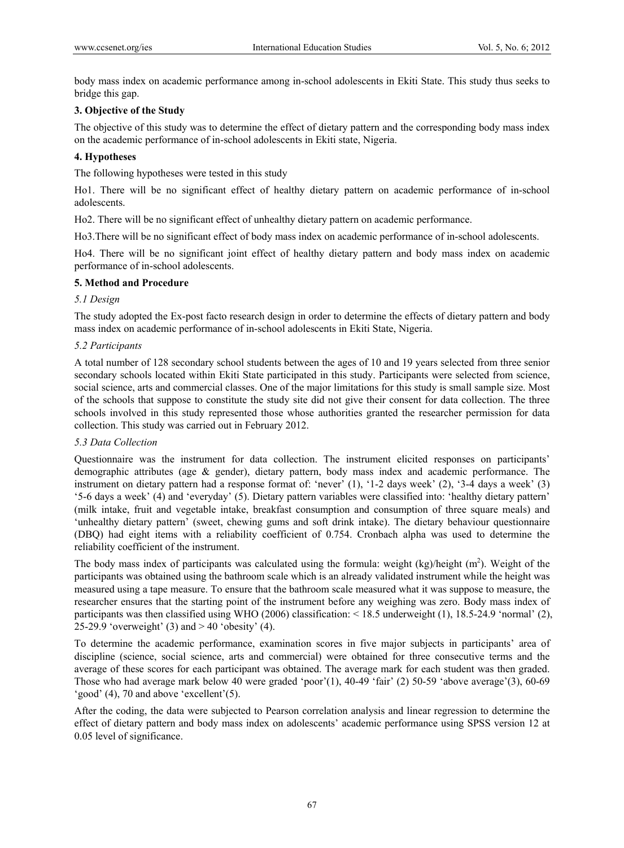body mass index on academic performance among in-school adolescents in Ekiti State. This study thus seeks to bridge this gap.

# **3. Objective of the Study**

The objective of this study was to determine the effect of dietary pattern and the corresponding body mass index on the academic performance of in-school adolescents in Ekiti state, Nigeria.

# **4. Hypotheses**

The following hypotheses were tested in this study

Ho1. There will be no significant effect of healthy dietary pattern on academic performance of in-school adolescents.

Ho2. There will be no significant effect of unhealthy dietary pattern on academic performance.

Ho3.There will be no significant effect of body mass index on academic performance of in-school adolescents.

Ho4. There will be no significant joint effect of healthy dietary pattern and body mass index on academic performance of in-school adolescents.

# **5. Method and Procedure**

# *5.1 Design*

The study adopted the Ex-post facto research design in order to determine the effects of dietary pattern and body mass index on academic performance of in-school adolescents in Ekiti State, Nigeria.

# *5.2 Participants*

A total number of 128 secondary school students between the ages of 10 and 19 years selected from three senior secondary schools located within Ekiti State participated in this study. Participants were selected from science, social science, arts and commercial classes. One of the major limitations for this study is small sample size. Most of the schools that suppose to constitute the study site did not give their consent for data collection. The three schools involved in this study represented those whose authorities granted the researcher permission for data collection. This study was carried out in February 2012.

## *5.3 Data Collection*

Questionnaire was the instrument for data collection. The instrument elicited responses on participants' demographic attributes (age & gender), dietary pattern, body mass index and academic performance. The instrument on dietary pattern had a response format of: 'never' (1), '1-2 days week' (2), '3-4 days a week' (3) '5-6 days a week' (4) and 'everyday' (5). Dietary pattern variables were classified into: 'healthy dietary pattern' (milk intake, fruit and vegetable intake, breakfast consumption and consumption of three square meals) and 'unhealthy dietary pattern' (sweet, chewing gums and soft drink intake). The dietary behaviour questionnaire (DBQ) had eight items with a reliability coefficient of 0.754. Cronbach alpha was used to determine the reliability coefficient of the instrument.

The body mass index of participants was calculated using the formula: weight  $(kg)/height (m<sup>2</sup>)$ . Weight of the participants was obtained using the bathroom scale which is an already validated instrument while the height was measured using a tape measure. To ensure that the bathroom scale measured what it was suppose to measure, the researcher ensures that the starting point of the instrument before any weighing was zero. Body mass index of participants was then classified using WHO (2006) classification: < 18.5 underweight (1), 18.5-24.9 'normal' (2), 25-29.9 'overweight' (3) and  $> 40$  'obesity' (4).

To determine the academic performance, examination scores in five major subjects in participants' area of discipline (science, social science, arts and commercial) were obtained for three consecutive terms and the average of these scores for each participant was obtained. The average mark for each student was then graded. Those who had average mark below 40 were graded 'poor'(1), 40-49 'fair' (2) 50-59 'above average'(3), 60-69 'good' (4), 70 and above 'excellent'(5).

After the coding, the data were subjected to Pearson correlation analysis and linear regression to determine the effect of dietary pattern and body mass index on adolescents' academic performance using SPSS version 12 at 0.05 level of significance.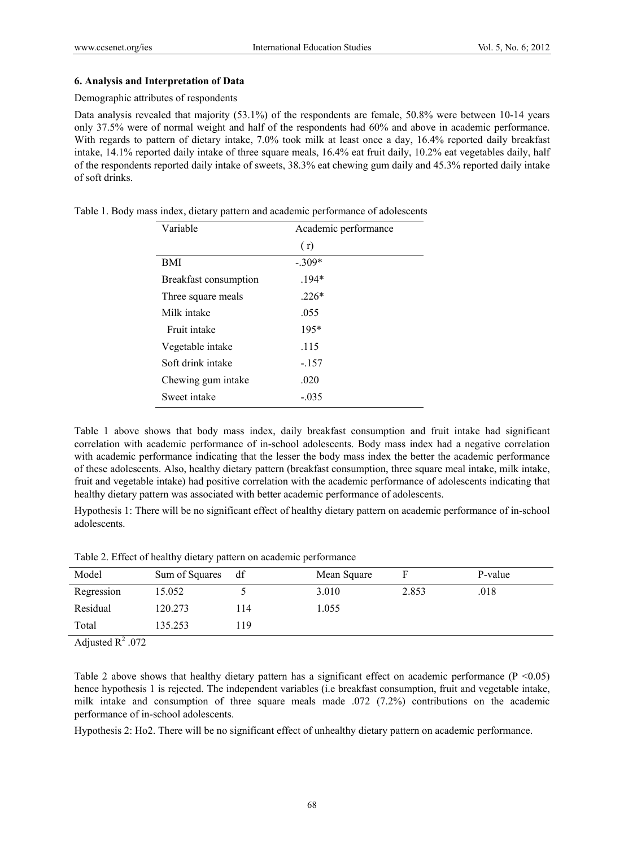#### **6. Analysis and Interpretation of Data**

#### Demographic attributes of respondents

Data analysis revealed that majority (53.1%) of the respondents are female, 50.8% were between 10-14 years only 37.5% were of normal weight and half of the respondents had 60% and above in academic performance. With regards to pattern of dietary intake, 7.0% took milk at least once a day, 16.4% reported daily breakfast intake, 14.1% reported daily intake of three square meals, 16.4% eat fruit daily, 10.2% eat vegetables daily, half of the respondents reported daily intake of sweets, 38.3% eat chewing gum daily and 45.3% reported daily intake of soft drinks.

| Variable              | Academic performance |
|-----------------------|----------------------|
|                       | (r)                  |
| BMI                   | $-.309*$             |
| Breakfast consumption | $.194*$              |
| Three square meals    | $.226*$              |
| Milk intake           | .055                 |
| Fruit intake          | $195*$               |
| Vegetable intake      | .115                 |
| Soft drink intake     | $-.157$              |
| Chewing gum intake    | .020                 |
| Sweet intake          | $-.035$              |

Table 1. Body mass index, dietary pattern and academic performance of adolescents

Table 1 above shows that body mass index, daily breakfast consumption and fruit intake had significant correlation with academic performance of in-school adolescents. Body mass index had a negative correlation with academic performance indicating that the lesser the body mass index the better the academic performance of these adolescents. Also, healthy dietary pattern (breakfast consumption, three square meal intake, milk intake, fruit and vegetable intake) had positive correlation with the academic performance of adolescents indicating that healthy dietary pattern was associated with better academic performance of adolescents.

Hypothesis 1: There will be no significant effect of healthy dietary pattern on academic performance of in-school adolescents.

|  | Table 2. Effect of healthy dietary pattern on academic performance |
|--|--------------------------------------------------------------------|
|--|--------------------------------------------------------------------|

| Model               | Sum of Squares | df  | Mean Square |       | P-value |
|---------------------|----------------|-----|-------------|-------|---------|
| Regression          | 15.052         |     | 3.010       | 2.853 | .018    |
| Residual            | 120.273        | 114 | 1.055       |       |         |
| Total               | 135.253        | 119 |             |       |         |
| A divided $D^2$ 072 |                |     |             |       |         |

Adjusted  $R^2$  .072

Table 2 above shows that healthy dietary pattern has a significant effect on academic performance ( $P < 0.05$ ) hence hypothesis 1 is rejected. The independent variables (i.e breakfast consumption, fruit and vegetable intake, milk intake and consumption of three square meals made .072 (7.2%) contributions on the academic performance of in-school adolescents.

Hypothesis 2: Ho2. There will be no significant effect of unhealthy dietary pattern on academic performance.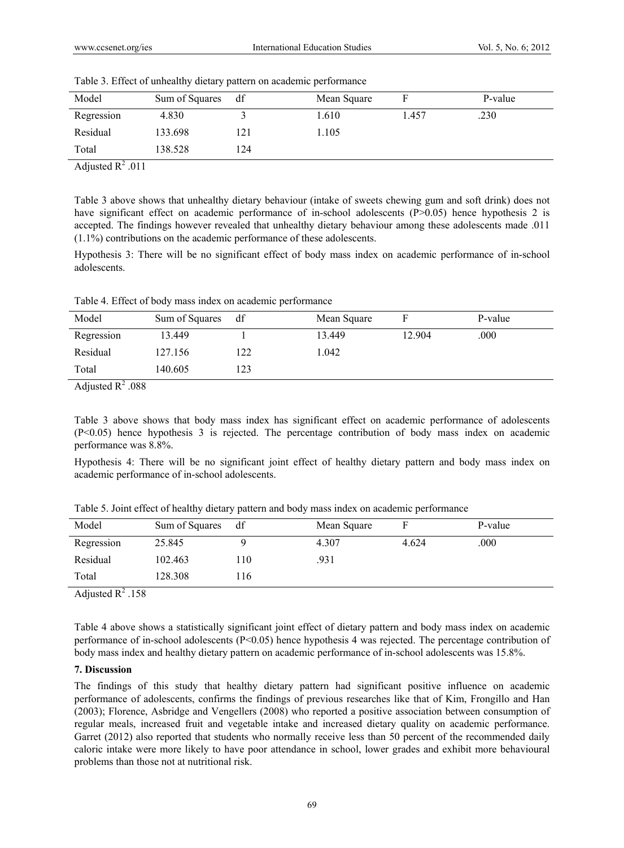| Model      | Sum of Squares | df  | Mean Square |       | P-value |
|------------|----------------|-----|-------------|-------|---------|
| Regression | 4.830          |     | .610        | 1.457 | .230    |
| Residual   | 133.698        | 121 | .105        |       |         |
| Total      | 138.528        | 124 |             |       |         |

|  |  |  | Table 3. Effect of unhealthy dietary pattern on academic performance |
|--|--|--|----------------------------------------------------------------------|
|  |  |  |                                                                      |

Adjusted  $R^2$  .011

Table 3 above shows that unhealthy dietary behaviour (intake of sweets chewing gum and soft drink) does not have significant effect on academic performance of in-school adolescents (P>0.05) hence hypothesis 2 is accepted. The findings however revealed that unhealthy dietary behaviour among these adolescents made .011 (1.1%) contributions on the academic performance of these adolescents.

Hypothesis 3: There will be no significant effect of body mass index on academic performance of in-school adolescents.

Table 4. Effect of body mass index on academic performance

| Model              | Sum of Squares | df  | Mean Square |        | P-value |
|--------------------|----------------|-----|-------------|--------|---------|
| Regression         | 13.449         |     | 13.449      | 12.904 | .000    |
| Residual           | 127.156        | 122 | .042        |        |         |
| Total              | 140.605        | 123 |             |        |         |
| $\sim$ $\sim$<br>. |                |     |             |        |         |

Adjusted  $R^2$  .088

Table 3 above shows that body mass index has significant effect on academic performance of adolescents (P<0.05) hence hypothesis 3 is rejected. The percentage contribution of body mass index on academic performance was 8.8%.

Hypothesis 4: There will be no significant joint effect of healthy dietary pattern and body mass index on academic performance of in-school adolescents.

| Model      | Sum of Squares | df   | Mean Square |       | P-value |
|------------|----------------|------|-------------|-------|---------|
| Regression | 25.845         |      | 4.307       | 4.624 | .000    |
| Residual   | 102.463        | 110  | .931        |       |         |
| Total      | 128.308        | ! 16 |             |       |         |

Table 5. Joint effect of healthy dietary pattern and body mass index on academic performance

Adjusted  $R^2$  .158

Table 4 above shows a statistically significant joint effect of dietary pattern and body mass index on academic performance of in-school adolescents (P<0.05) hence hypothesis 4 was rejected. The percentage contribution of body mass index and healthy dietary pattern on academic performance of in-school adolescents was 15.8%.

## **7. Discussion**

The findings of this study that healthy dietary pattern had significant positive influence on academic performance of adolescents, confirms the findings of previous researches like that of Kim, Frongillo and Han (2003); Florence, Asbridge and Vengellers (2008) who reported a positive association between consumption of regular meals, increased fruit and vegetable intake and increased dietary quality on academic performance. Garret (2012) also reported that students who normally receive less than 50 percent of the recommended daily caloric intake were more likely to have poor attendance in school, lower grades and exhibit more behavioural problems than those not at nutritional risk.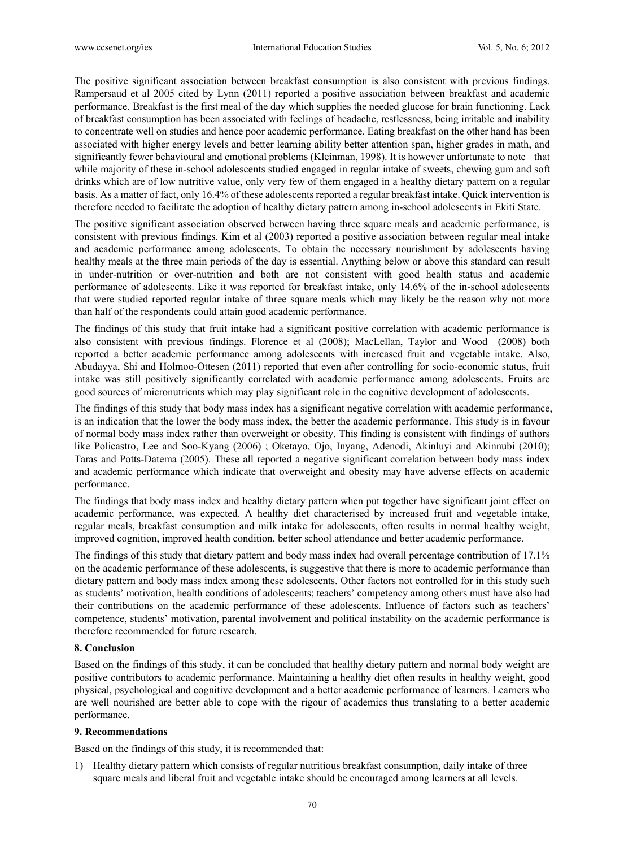The positive significant association between breakfast consumption is also consistent with previous findings. Rampersaud et al 2005 cited by Lynn (2011) reported a positive association between breakfast and academic performance. Breakfast is the first meal of the day which supplies the needed glucose for brain functioning. Lack of breakfast consumption has been associated with feelings of headache, restlessness, being irritable and inability to concentrate well on studies and hence poor academic performance. Eating breakfast on the other hand has been associated with higher energy levels and better learning ability better attention span, higher grades in math, and significantly fewer behavioural and emotional problems (Kleinman, 1998). It is however unfortunate to note that while majority of these in-school adolescents studied engaged in regular intake of sweets, chewing gum and soft drinks which are of low nutritive value, only very few of them engaged in a healthy dietary pattern on a regular basis. As a matter of fact, only 16.4% of these adolescents reported a regular breakfast intake. Quick intervention is therefore needed to facilitate the adoption of healthy dietary pattern among in-school adolescents in Ekiti State.

The positive significant association observed between having three square meals and academic performance, is consistent with previous findings. Kim et al (2003) reported a positive association between regular meal intake and academic performance among adolescents. To obtain the necessary nourishment by adolescents having healthy meals at the three main periods of the day is essential. Anything below or above this standard can result in under-nutrition or over-nutrition and both are not consistent with good health status and academic performance of adolescents. Like it was reported for breakfast intake, only 14.6% of the in-school adolescents that were studied reported regular intake of three square meals which may likely be the reason why not more than half of the respondents could attain good academic performance.

The findings of this study that fruit intake had a significant positive correlation with academic performance is also consistent with previous findings. Florence et al (2008); MacLellan, Taylor and Wood (2008) both reported a better academic performance among adolescents with increased fruit and vegetable intake. Also, Abudayya, Shi and Holmoo-Ottesen (2011) reported that even after controlling for socio-economic status, fruit intake was still positively significantly correlated with academic performance among adolescents. Fruits are good sources of micronutrients which may play significant role in the cognitive development of adolescents.

The findings of this study that body mass index has a significant negative correlation with academic performance, is an indication that the lower the body mass index, the better the academic performance. This study is in favour of normal body mass index rather than overweight or obesity. This finding is consistent with findings of authors like Policastro, Lee and Soo-Kyang (2006) ; Oketayo, Ojo, Inyang, Adenodi, Akinluyi and Akinnubi (2010); Taras and Potts-Datema (2005). These all reported a negative significant correlation between body mass index and academic performance which indicate that overweight and obesity may have adverse effects on academic performance.

The findings that body mass index and healthy dietary pattern when put together have significant joint effect on academic performance, was expected. A healthy diet characterised by increased fruit and vegetable intake, regular meals, breakfast consumption and milk intake for adolescents, often results in normal healthy weight, improved cognition, improved health condition, better school attendance and better academic performance.

The findings of this study that dietary pattern and body mass index had overall percentage contribution of 17.1% on the academic performance of these adolescents, is suggestive that there is more to academic performance than dietary pattern and body mass index among these adolescents. Other factors not controlled for in this study such as students' motivation, health conditions of adolescents; teachers' competency among others must have also had their contributions on the academic performance of these adolescents. Influence of factors such as teachers' competence, students' motivation, parental involvement and political instability on the academic performance is therefore recommended for future research.

## **8. Conclusion**

Based on the findings of this study, it can be concluded that healthy dietary pattern and normal body weight are positive contributors to academic performance. Maintaining a healthy diet often results in healthy weight, good physical, psychological and cognitive development and a better academic performance of learners. Learners who are well nourished are better able to cope with the rigour of academics thus translating to a better academic performance.

## **9. Recommendations**

Based on the findings of this study, it is recommended that:

1) Healthy dietary pattern which consists of regular nutritious breakfast consumption, daily intake of three square meals and liberal fruit and vegetable intake should be encouraged among learners at all levels.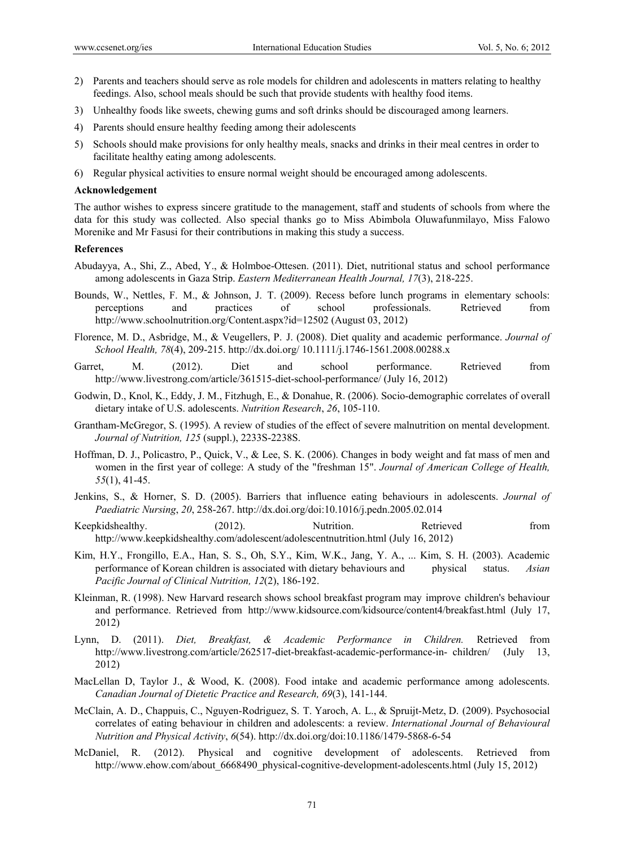- 2) Parents and teachers should serve as role models for children and adolescents in matters relating to healthy feedings. Also, school meals should be such that provide students with healthy food items.
- 3) Unhealthy foods like sweets, chewing gums and soft drinks should be discouraged among learners.
- 4) Parents should ensure healthy feeding among their adolescents
- 5) Schools should make provisions for only healthy meals, snacks and drinks in their meal centres in order to facilitate healthy eating among adolescents.
- 6) Regular physical activities to ensure normal weight should be encouraged among adolescents.

#### **Acknowledgement**

The author wishes to express sincere gratitude to the management, staff and students of schools from where the data for this study was collected. Also special thanks go to Miss Abimbola Oluwafunmilayo, Miss Falowo Morenike and Mr Fasusi for their contributions in making this study a success.

#### **References**

- Abudayya, A., Shi, Z., Abed, Y., & Holmboe-Ottesen. (2011). Diet, nutritional status and school performance among adolescents in Gaza Strip. *Eastern Mediterranean Health Journal, 17*(3), 218-225.
- Bounds, W., Nettles, F. M., & Johnson, J. T. (2009). Recess before lunch programs in elementary schools: perceptions and practices of school professionals. Retrieved from http://www.schoolnutrition.org/Content.aspx?id=12502 (August 03, 2012)
- Florence, M. D., Asbridge, M., & Veugellers, P. J. (2008). Diet quality and academic performance. *Journal of School Health, 78*(4), 209-215. http://dx.doi.org/ 10.1111/j.1746-1561.2008.00288.x
- Garret, M. (2012). Diet and school performance. Retrieved from http://www.livestrong.com/article/361515-diet-school-performance/ (July 16, 2012)
- Godwin, D., Knol, K., Eddy, J. M., Fitzhugh, E., & Donahue, R. (2006). Socio-demographic correlates of overall dietary intake of U.S. adolescents. *Nutrition Research*, *26*, 105-110.
- Grantham-McGregor, S. (1995). A review of studies of the effect of severe malnutrition on mental development. *Journal of Nutrition, 125* (suppl.), 2233S-2238S.
- Hoffman, D. J., Policastro, P., Quick, V., & Lee, S. K. (2006). Changes in body weight and fat mass of men and women in the first year of college: A study of the "freshman 15". *Journal of American College of Health, 55*(1), 41-45.
- Jenkins, S., & Horner, S. D. (2005). Barriers that influence eating behaviours in adolescents. *Journal of Paediatric Nursing*, *20*, 258-267. http://dx.doi.org/doi:10.1016/j.pedn.2005.02.014
- Keepkidshealthy. (2012). Nutrition. Retrieved from http://www.keepkidshealthy.com/adolescent/adolescentnutrition.html (July 16, 2012)
- Kim, H.Y., Frongillo, E.A., Han, S. S., Oh, S.Y., Kim, W.K., Jang, Y. A., ... Kim, S. H. (2003). Academic performance of Korean children is associated with dietary behaviours and physical status. *Asian Pacific Journal of Clinical Nutrition, 12*(2), 186-192.
- Kleinman, R. (1998). New Harvard research shows school breakfast program may improve children's behaviour and performance. Retrieved from http://www.kidsource.com/kidsource/content4/breakfast.html (July 17, 2012)
- Lynn, D. (2011). *Diet, Breakfast, & Academic Performance in Children.* Retrieved from http://www.livestrong.com/article/262517-diet-breakfast-academic-performance-in- children/ (July 13, 2012)
- MacLellan D, Taylor J., & Wood, K. (2008). Food intake and academic performance among adolescents. *Canadian Journal of Dietetic Practice and Research, 69*(3), 141-144.
- McClain, A. D., Chappuis, C., Nguyen-Rodriguez, S. T. Yaroch, A. L., & Spruijt-Metz, D. (2009). Psychosocial correlates of eating behaviour in children and adolescents: a review. *International Journal of Behavioural Nutrition and Physical Activity*, *6*(54). http://dx.doi.org/doi:10.1186/1479-5868-6-54
- McDaniel, R. (2012). Physical and cognitive development of adolescents. Retrieved from http://www.ehow.com/about 6668490 physical-cognitive-development-adolescents.html (July 15, 2012)